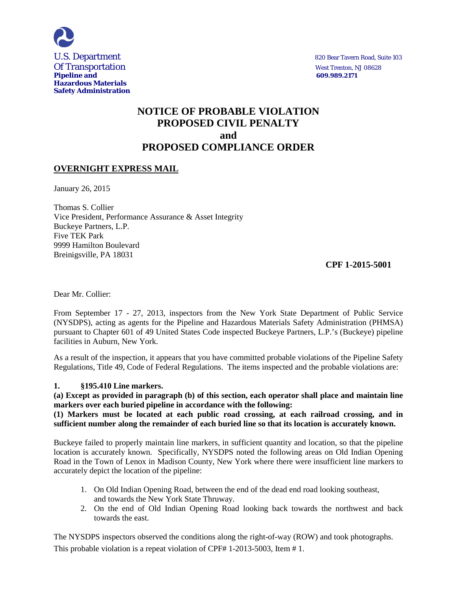

# **NOTICE OF PROBABLE VIOLATION PROPOSED CIVIL PENALTY and PROPOSED COMPLIANCE ORDER**

## **OVERNIGHT EXPRESS MAIL**

January 26, 2015

Thomas S. Collier Vice President, Performance Assurance & Asset Integrity Buckeye Partners, L.P. Five TEK Park 9999 Hamilton Boulevard Breinigsville, PA 18031

### **CPF 1-2015-5001**

Dear Mr. Collier:

From September 17 - 27, 2013, inspectors from the New York State Department of Public Service (NYSDPS), acting as agents for the Pipeline and Hazardous Materials Safety Administration (PHMSA) pursuant to Chapter 601 of 49 United States Code inspected Buckeye Partners, L.P.'s (Buckeye) pipeline facilities in Auburn, New York.

As a result of the inspection, it appears that you have committed probable violations of the Pipeline Safety Regulations, Title 49, Code of Federal Regulations. The items inspected and the probable violations are:

#### **1. §195.410 Line markers.**

**(a) Except as provided in paragraph (b) of this section, each operator shall place and maintain line markers over each buried pipeline in accordance with the following:**

**(1) Markers must be located at each public road crossing, at each railroad crossing, and in sufficient number along the remainder of each buried line so that its location is accurately known.**

Buckeye failed to properly maintain line markers, in sufficient quantity and location, so that the pipeline location is accurately known. Specifically, NYSDPS noted the following areas on Old Indian Opening Road in the Town of Lenox in Madison County, New York where there were insufficient line markers to accurately depict the location of the pipeline:

- 1. On Old Indian Opening Road, between the end of the dead end road looking southeast, and towards the New York State Thruway.
- 2. On the end of Old Indian Opening Road looking back towards the northwest and back towards the east.

The NYSDPS inspectors observed the conditions along the right-of-way (ROW) and took photographs. This probable violation is a repeat violation of CPF# 1-2013-5003, Item # 1.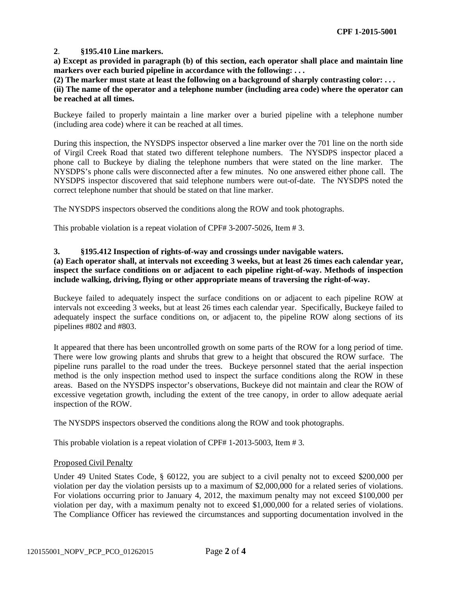#### **2**. **§195.410 Line markers.**

**a) Except as provided in paragraph (b) of this section, each operator shall place and maintain line markers over each buried pipeline in accordance with the following: . . .**

**(2) The marker must state at least the following on a background of sharply contrasting color: . . .** 

#### **(ii) The name of the operator and a telephone number (including area code) where the operator can be reached at all times.**

Buckeye failed to properly maintain a line marker over a buried pipeline with a telephone number (including area code) where it can be reached at all times.

During this inspection, the NYSDPS inspector observed a line marker over the 701 line on the north side of Virgil Creek Road that stated two different telephone numbers. The NYSDPS inspector placed a phone call to Buckeye by dialing the telephone numbers that were stated on the line marker. The NYSDPS's phone calls were disconnected after a few minutes. No one answered either phone call. The NYSDPS inspector discovered that said telephone numbers were out-of-date. The NYSDPS noted the correct telephone number that should be stated on that line marker.

The NYSDPS inspectors observed the conditions along the ROW and took photographs.

This probable violation is a repeat violation of CPF# 3-2007-5026, Item # 3.

#### **3. §195.412 Inspection of rights-of-way and crossings under navigable waters.**

**(a) Each operator shall, at intervals not exceeding 3 weeks, but at least 26 times each calendar year, inspect the surface conditions on or adjacent to each pipeline right-of-way. Methods of inspection include walking, driving, flying or other appropriate means of traversing the right-of-way.** 

Buckeye failed to adequately inspect the surface conditions on or adjacent to each pipeline ROW at intervals not exceeding 3 weeks, but at least 26 times each calendar year. Specifically, Buckeye failed to adequately inspect the surface conditions on, or adjacent to, the pipeline ROW along sections of its pipelines #802 and #803.

It appeared that there has been uncontrolled growth on some parts of the ROW for a long period of time. There were low growing plants and shrubs that grew to a height that obscured the ROW surface. The pipeline runs parallel to the road under the trees. Buckeye personnel stated that the aerial inspection method is the only inspection method used to inspect the surface conditions along the ROW in these areas. Based on the NYSDPS inspector's observations, Buckeye did not maintain and clear the ROW of excessive vegetation growth, including the extent of the tree canopy, in order to allow adequate aerial inspection of the ROW.

The NYSDPS inspectors observed the conditions along the ROW and took photographs.

This probable violation is a repeat violation of CPF# 1-2013-5003, Item # 3.

#### Proposed Civil Penalty

Under 49 United States Code, § 60122, you are subject to a civil penalty not to exceed \$200,000 per violation per day the violation persists up to a maximum of \$2,000,000 for a related series of violations. For violations occurring prior to January 4, 2012, the maximum penalty may not exceed \$100,000 per violation per day, with a maximum penalty not to exceed \$1,000,000 for a related series of violations. The Compliance Officer has reviewed the circumstances and supporting documentation involved in the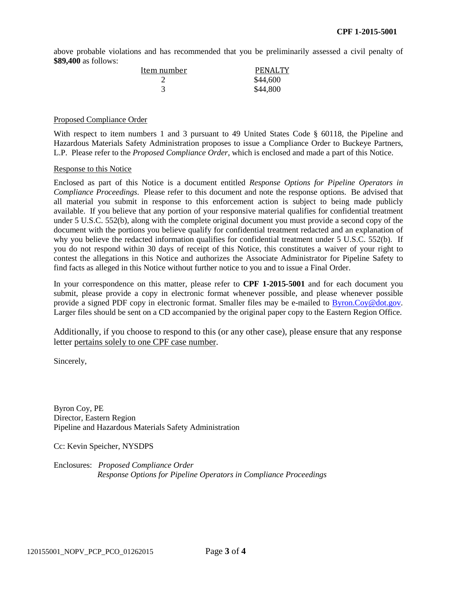above probable violations and has recommended that you be preliminarily assessed a civil penalty of **\$89,400** as follows:

| Item number | <b>PENALTY</b> |
|-------------|----------------|
|             | \$44,600       |
|             | \$44,800       |

#### Proposed Compliance Order

With respect to item numbers 1 and 3 pursuant to 49 United States Code § 60118, the Pipeline and Hazardous Materials Safety Administration proposes to issue a Compliance Order to Buckeye Partners, L.P. Please refer to the *Proposed Compliance Order*, which is enclosed and made a part of this Notice.

#### Response to this Notice

Enclosed as part of this Notice is a document entitled *Response Options for Pipeline Operators in Compliance Proceedings*. Please refer to this document and note the response options. Be advised that all material you submit in response to this enforcement action is subject to being made publicly available. If you believe that any portion of your responsive material qualifies for confidential treatment under 5 U.S.C. 552(b), along with the complete original document you must provide a second copy of the document with the portions you believe qualify for confidential treatment redacted and an explanation of why you believe the redacted information qualifies for confidential treatment under 5 U.S.C. 552(b). If you do not respond within 30 days of receipt of this Notice, this constitutes a waiver of your right to contest the allegations in this Notice and authorizes the Associate Administrator for Pipeline Safety to find facts as alleged in this Notice without further notice to you and to issue a Final Order.

In your correspondence on this matter, please refer to **CPF 1-2015-5001** and for each document you submit, please provide a copy in electronic format whenever possible, and please whenever possible provide a signed PDF copy in electronic format. Smaller files may be e-mailed to Byron.Coy@dot.gov. Larger files should be sent on a CD accompanied by the original paper copy to the Eastern Region Office.

Additionally, if you choose to respond to this (or any other case), please ensure that any response letter pertains solely to one CPF case number.

Sincerely,

Byron Coy, PE Director, Eastern Region Pipeline and Hazardous Materials Safety Administration

Cc: Kevin Speicher, NYSDPS

Enclosures: *Proposed Compliance Order Response Options for Pipeline Operators in Compliance Proceedings*